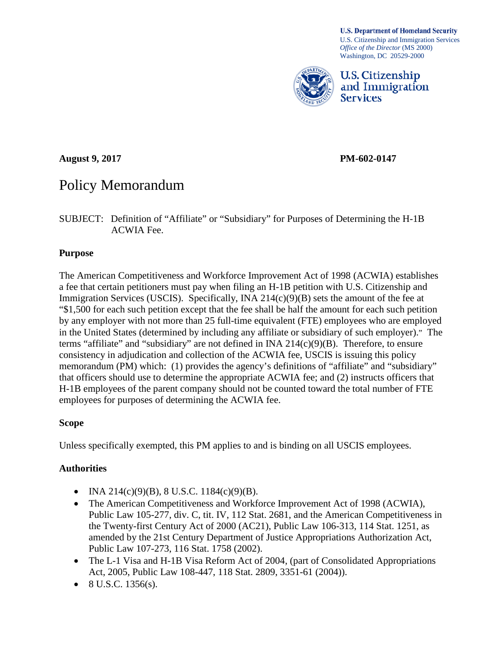**U.S. Department of Homeland Security** U.S. Citizenship and Immigration Services *Office of the Director* (MS 2000) Washington, DC 20529-2000



U.S. Citizenship and Immigration **Services** 

**August 9, 2017 PM-602-0147**

# Policy Memorandum

SUBJECT: Definition of "Affiliate" or "Subsidiary" for Purposes of Determining the H-1B ACWIA Fee.

## **Purpose**

The American Competitiveness and Workforce Improvement Act of 1998 (ACWIA) establishes a fee that certain petitioners must pay when filing an H-1B petition with U.S. Citizenship and Immigration Services (USCIS). Specifically, INA 214(c)(9)(B) sets the amount of the fee at "\$1,500 for each such petition except that the fee shall be half the amount for each such petition by any employer with not more than 25 full-time equivalent (FTE) employees who are employed in the United States (determined by including any affiliate or subsidiary of such employer)." The terms "affiliate" and "subsidiary" are not defined in INA  $214(c)(9)(B)$ . Therefore, to ensure consistency in adjudication and collection of the ACWIA fee, USCIS is issuing this policy memorandum (PM) which: (1) provides the agency's definitions of "affiliate" and "subsidiary" that officers should use to determine the appropriate ACWIA fee; and (2) instructs officers that H-1B employees of the parent company should not be counted toward the total number of FTE employees for purposes of determining the ACWIA fee.

## **Scope**

Unless specifically exempted, this PM applies to and is binding on all USCIS employees.

# **Authorities**

- INA 214(c)(9)(B), 8 U.S.C. 1184(c)(9)(B).
- The American Competitiveness and Workforce Improvement Act of 1998 (ACWIA), Public Law 105-277, div. C, tit. IV, 112 Stat. 2681, and the American Competitiveness in the Twenty-first Century Act of 2000 (AC21), Public Law 106-313, 114 Stat. 1251, as amended by the 21st Century Department of Justice Appropriations Authorization Act, Public Law 107-273, 116 Stat. 1758 (2002).
- The L-1 Visa and H-1B Visa Reform Act of 2004, (part of Consolidated Appropriations Act, 2005, Public Law 108-447, 118 Stat. 2809, 3351-61 (2004)).
- 8 U.S.C. 1356(s).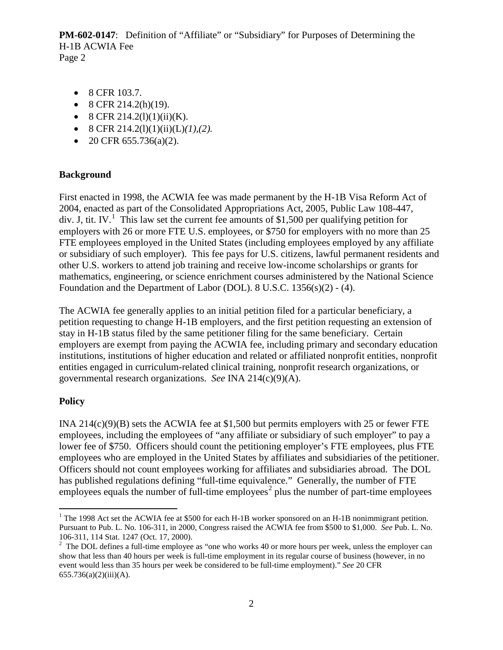- 8 CFR 103.7.
- 8 CFR 214.2(h)(19).
- 8 CFR 214.2(1)(1)(ii)(K).
- 8 CFR  $214.2(l)(1)(ii)(L)(1),(2)$ .
- 20 CFR  $655.736(a)(2)$ .

#### **Background**

First enacted in 1998, the ACWIA fee was made permanent by the H-1B Visa Reform Act of 2004, enacted as part of the Consolidated Appropriations Act, 2005, Public Law 108-447, div. J, tit. IV.<sup>[1](#page-1-0)</sup> This law set the current fee amounts of \$1,500 per qualifying petition for employers with 26 or more FTE U.S. employees, or \$750 for employers with no more than 25 FTE employees employed in the United States (including employees employed by any affiliate or subsidiary of such employer). This fee pays for U.S. citizens, lawful permanent residents and other U.S. workers to attend job training and receive low-income scholarships or grants for mathematics, engineering, or science enrichment courses administered by the National Science Foundation and the Department of Labor (DOL). 8 U.S.C. 1356(s)(2) - (4).

The ACWIA fee generally applies to an initial petition filed for a particular beneficiary, a petition requesting to change H-1B employers, and the first petition requesting an extension of stay in H-1B status filed by the same petitioner filing for the same beneficiary. Certain employers are exempt from paying the ACWIA fee, including primary and secondary education institutions, institutions of higher education and related or affiliated nonprofit entities, nonprofit entities engaged in curriculum-related clinical training, nonprofit research organizations, or governmental research organizations. *See* INA 214(c)(9)(A).

## **Policy**

INA  $214(c)(9)(B)$  sets the ACWIA fee at \$1,500 but permits employers with 25 or fewer FTE employees, including the employees of "any affiliate or subsidiary of such employer" to pay a lower fee of \$750. Officers should count the petitioning employer's FTE employees, plus FTE employees who are employed in the United States by affiliates and subsidiaries of the petitioner. Officers should not count employees working for affiliates and subsidiaries abroad. The DOL has published regulations defining "full-time equivalence." Generally, the number of FTE employees equals the number of full-time employees<sup>[2](#page-1-1)</sup> plus the number of part-time employees

<span id="page-1-0"></span><sup>&</sup>lt;sup>1</sup> The 1998 Act set the ACWIA fee at \$500 for each H-1B worker sponsored on an H-1B nonimmigrant petition. Pursuant to Pub. L. No. 106-311, in 2000, Congress raised the ACWIA fee from \$500 to \$1,000. *See* Pub. L. No. 106-311, 114 Stat. 1247 (Oct. 17, 2000). <sup>2</sup>

<span id="page-1-1"></span> $2$  The DOL defines a full-time employee as "one who works 40 or more hours per week, unless the employer can show that less than 40 hours per week is full-time employment in its regular course of business (however, in no event would less than 35 hours per week be considered to be full-time employment)." *See* 20 CFR 655.736(a)(2)(iii)(A).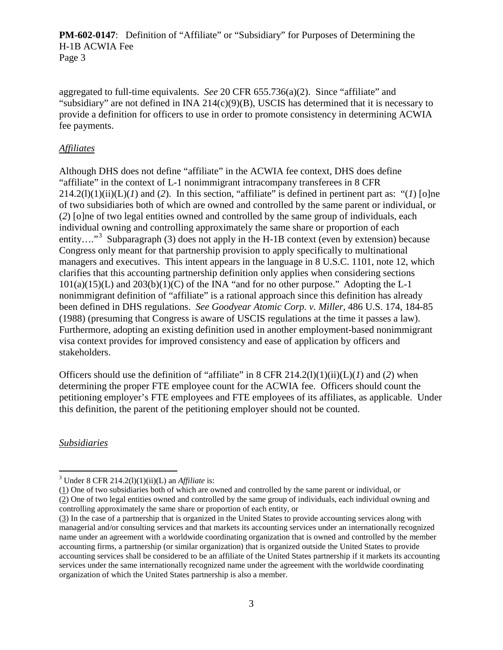aggregated to full-time equivalents. *See* 20 CFR 655.736(a)(2). Since "affiliate" and "subsidiary" are not defined in INA  $214(c)(9)(B)$ , USCIS has determined that it is necessary to provide a definition for officers to use in order to promote consistency in determining ACWIA fee payments.

#### *Affiliates*

Although DHS does not define "affiliate" in the ACWIA fee context, DHS does define "affiliate" in the context of L-1 nonimmigrant intracompany transferees in 8 CFR  $214.2(l)(1)(ii)(L)(I)$  and (2). In this section, "affiliate" is defined in pertinent part as: "(1) [o]ne of two subsidiaries both of which are owned and controlled by the same parent or individual, or (*2*) [o]ne of two legal entities owned and controlled by the same group of individuals, each individual owning and controlling approximately the same share or proportion of each entity…."<sup>[3](#page-2-0)</sup> Subparagraph (3) does not apply in the H-1B context (even by extension) because Congress only meant for that partnership provision to apply specifically to multinational managers and executives. This intent appears in the language in 8 U.S.C. 1101, note 12, which clarifies that this accounting partnership definition only applies when considering sections  $101(a)(15)(L)$  and  $203(b)(1)(C)$  of the INA "and for no other purpose." Adopting the L-1 nonimmigrant definition of "affiliate" is a rational approach since this definition has already been defined in DHS regulations. *See Goodyear Atomic Corp. v. Miller*, 486 U.S. 174, 184-85 (1988) (presuming that Congress is aware of USCIS regulations at the time it passes a law). Furthermore, adopting an existing definition used in another employment-based nonimmigrant visa context provides for improved consistency and ease of application by officers and stakeholders.

Officers should use the definition of "affiliate" in 8 CFR 214.2(l)(1)(ii)(L)(*1*) and (*2*) when determining the proper FTE employee count for the ACWIA fee. Officers should count the petitioning employer's FTE employees and FTE employees of its affiliates, as applicable. Under this definition, the parent of the petitioning employer should not be counted.

*Subsidiaries*

<span id="page-2-0"></span> <sup>3</sup> Under 8 CFR 214.2(l)(1)(ii)(L) an *Affiliate* is:

<sup>(1)</sup> One of two subsidiaries both of which are owned and controlled by the same parent or individual, or (2) One of two legal entities owned and controlled by the same group of individuals, each individual owning and controlling approximately the same share or proportion of each entity, or

<sup>(3)</sup> In the case of a partnership that is organized in the United States to provide accounting services along with managerial and/or consulting services and that markets its accounting services under an internationally recognized name under an agreement with a worldwide coordinating organization that is owned and controlled by the member accounting firms, a partnership (or similar organization) that is organized outside the United States to provide accounting services shall be considered to be an affiliate of the United States partnership if it markets its accounting services under the same internationally recognized name under the agreement with the worldwide coordinating organization of which the United States partnership is also a member.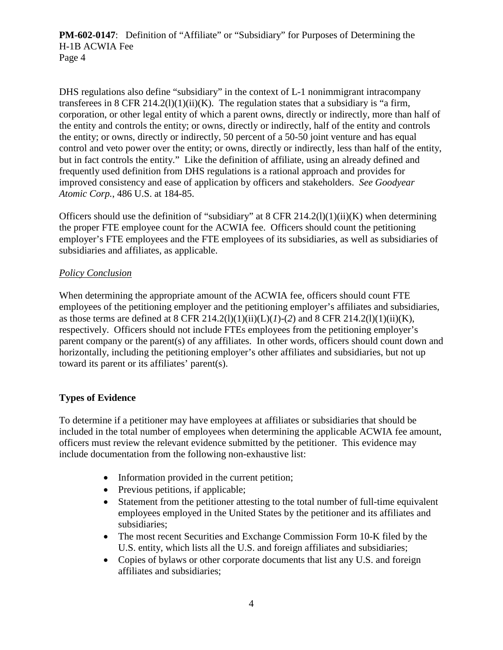DHS regulations also define "subsidiary" in the context of L-1 nonimmigrant intracompany transferees in 8 CFR 214.2(1)(1)(ii)(K). The regulation states that a subsidiary is "a firm, corporation, or other legal entity of which a parent owns, directly or indirectly, more than half of the entity and controls the entity; or owns, directly or indirectly, half of the entity and controls the entity; or owns, directly or indirectly, 50 percent of a 50-50 joint venture and has equal control and veto power over the entity; or owns, directly or indirectly, less than half of the entity, but in fact controls the entity." Like the definition of affiliate, using an already defined and frequently used definition from DHS regulations is a rational approach and provides for improved consistency and ease of application by officers and stakeholders. *See Goodyear Atomic Corp.*, 486 U.S. at 184-85.

Officers should use the definition of "subsidiary" at 8 CFR 214.2(1)(1)(ii)(K) when determining the proper FTE employee count for the ACWIA fee. Officers should count the petitioning employer's FTE employees and the FTE employees of its subsidiaries, as well as subsidiaries of subsidiaries and affiliates, as applicable.

## *Policy Conclusion*

When determining the appropriate amount of the ACWIA fee, officers should count FTE employees of the petitioning employer and the petitioning employer's affiliates and subsidiaries, as those terms are defined at 8 CFR 214.2(l)(1)(ii)(L)(*l*)-(2) and 8 CFR 214.2(l)(1)(ii)(K), respectively. Officers should not include FTEs employees from the petitioning employer's parent company or the parent(s) of any affiliates. In other words, officers should count down and horizontally, including the petitioning employer's other affiliates and subsidiaries, but not up toward its parent or its affiliates' parent(s).

## **Types of Evidence**

To determine if a petitioner may have employees at affiliates or subsidiaries that should be included in the total number of employees when determining the applicable ACWIA fee amount, officers must review the relevant evidence submitted by the petitioner. This evidence may include documentation from the following non-exhaustive list:

- Information provided in the current petition;
- Previous petitions, if applicable;
- Statement from the petitioner attesting to the total number of full-time equivalent employees employed in the United States by the petitioner and its affiliates and subsidiaries;
- The most recent Securities and Exchange Commission Form 10-K filed by the U.S. entity, which lists all the U.S. and foreign affiliates and subsidiaries;
- Copies of bylaws or other corporate documents that list any U.S. and foreign affiliates and subsidiaries;